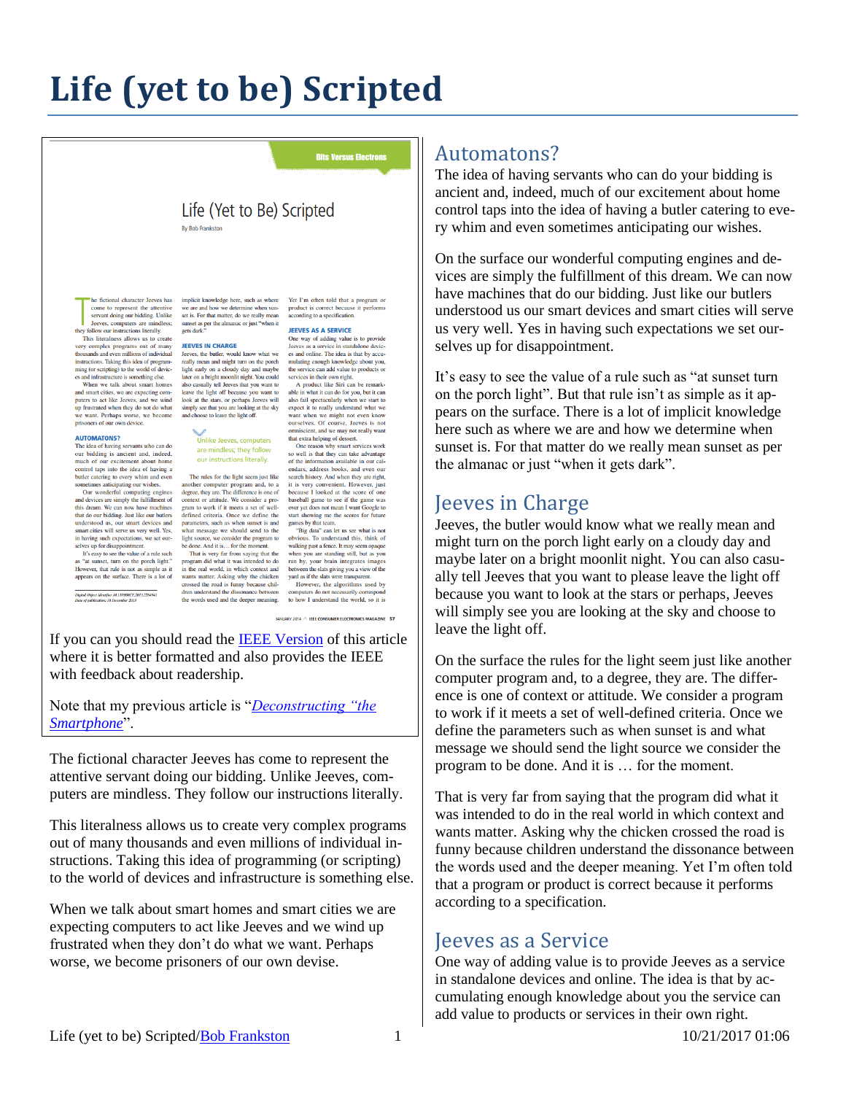# **Life (yet to be) Scripted**

#### **Bits Versus Electrons**

#### Life (Yet to Be) Scripted **By Bob Frankston**

come to represent the attentive servant doing our bidding. Unlike

servant dong our bioding. Unlike<br>leves, computers are mindless;<br>they follow our instructions literally.<br>This literalness allows us to create<br>y very complex programs out of many<br>thousands and even millions of individual<br>ins ming (or scripting) to the world of devices and infrastructure is something else When we talk about smart homes

when we can about smart nomes<br>and smart cities, we are expecting com-<br>puters to act like Jeeves, and we wind<br>up frustrated when they do not do what<br>we want. Perhaps worse, we become<br>prisoners of our own device. wind

#### **AUTOMATONS?**

The idea of having servants who can do The idea of having servants who can do<br>not be our bidding is ancient and, indeed, much of our excitement about home<br>control taps into the idea of having a<br>bulker catering to every whim and even<br>sometimes anticipating our

this dream. We can now have machines that do our bidding. Just like our butlers understood us, our smart devices and smart cities will serve us very well. Yes,

smart crities will serve us very well. Yes,<br>in having such expectations, we set our-<br>selves up for disappoinment.<br>It's easy to see the value of a rule such<br>as "at sunset, turn on the porch light."<br>However, that rule is no

-<br>Digital Object Identifier 10.1109/MCE.2013.2284941<br>Date of publication: 18 December 2013

he fictional character Jeeves has implicit knowledge here, such as where we are and how we determine when sunset is. For that matter, do we really mean set is. For that matter, do we really mean<br>sunset as per the almanac or just "when it<br>gets dark."

#### **JEEVES IN CHARGE**

Jerusal in Christian Level & Revised Revised Revised Revised Revised Revised Revised Revised Revised Revised Revised Revised Revised Revised Revised Revised Revised Revised Revised Revised Revised Revised Revised Revised R light early on a cloudy day and maybe later on a bright moonlit night. You could also casually tell Jeeves that you want to also custom the dight off because you want to<br>look at the stars, or perhaps Jeeves will<br>simply see that you are looking at the sky<br>and choose to leave the light off.

> Unlike Jeeves, computers are mindless; they follow our instructions literally.

The rules for the light seem just like The rules for the light seem just like<br>another computer program and, to a<br>degree, they are. The difference is one of<br>context or attitude. We consider a pro-<br>gram to work if it meets a set of welldefined criteria. Once we define the parameters, such as when sunset is and

wants matter. Asking why the chicken yard as if the slats were transparent. crossed the road is funny because chil-<br>dren understand the dissonance between

Yet I'm often told that a program or product is correct because it performs<br>according to a specification.

#### **JEEVES AS A SERVICE**

One way of adding value is to provide<br>Jeeves as a service in standalone devices<br>and online. The idea is that by accumulating enough knowledge about you, the service can add value to products or services in their own right.

A product like Siri can be remarkable what it can do for you, but it can able in what it can do for you, but it can<br>also fail spectacularly when we start to<br>expect it to really understand what we<br>want when we might not even know<br>ourselves. Of course, Jeeves is not<br>omniscient, and we may not rea that extra helping of dessert.

One reason why smart services work so well is that they can take advantage of the information available in our cal-<br>endars, address books, and even our endars, address books, and even our<br>search histoy. And when they are right,<br>it is very convenient. However, just<br>because I looked at the score of one<br>baseball game to see if the game was<br>over yet does not mean I want Googl start showing me the scores for future games by that team.

parameters, such as when sumset is and games by that team.<br>
what message we should send to the  $\frac{m_{\text{B}}}{3}$  data" can let us see what is not light source, we consider the program to obvious. To understand this, this be However, the algorithms used by

dren understand the dissonance between computers do not necessarily correspond<br>the words used and the deeper meaning. <br> to how I understand the world, so it is

**IANUARY 2014 A IEEE CONSUMER ELECTRONICS MAGAZINE 57** 

If you can you should read the [IEEE Version](http://ieeexplore.ieee.org/stamp/stamp.jsp?tp=&arnumber=6685957) of this article where it is better formatted and also provides the IEEE with feedback about readership.

Note that my previous article is "*[Deconstructing "the](http://rmf.vc/IEEESmart)  [Smartphone](http://rmf.vc/IEEESmart)*".

The fictional character Jeeves has come to represent the attentive servant doing our bidding. Unlike Jeeves, computers are mindless. They follow our instructions literally.

This literalness allows us to create very complex programs out of many thousands and even millions of individual instructions. Taking this idea of programming (or scripting) to the world of devices and infrastructure is something else.

When we talk about smart homes and smart cities we are expecting computers to act like Jeeves and we wind up frustrated when they don't do what we want. Perhaps worse, we become prisoners of our own devise.

### Automatons?

The idea of having servants who can do your bidding is ancient and, indeed, much of our excitement about home control taps into the idea of having a butler catering to every whim and even sometimes anticipating our wishes.

On the surface our wonderful computing engines and devices are simply the fulfillment of this dream. We can now have machines that do our bidding. Just like our butlers understood us our smart devices and smart cities will serve us very well. Yes in having such expectations we set ourselves up for disappointment.

It's easy to see the value of a rule such as "at sunset turn on the porch light". But that rule isn't as simple as it appears on the surface. There is a lot of implicit knowledge here such as where we are and how we determine when sunset is. For that matter do we really mean sunset as per the almanac or just "when it gets dark".

#### Jeeves in Charge

Jeeves, the butler would know what we really mean and might turn on the porch light early on a cloudy day and maybe later on a bright moonlit night. You can also casually tell Jeeves that you want to please leave the light off because you want to look at the stars or perhaps, Jeeves will simply see you are looking at the sky and choose to leave the light off.

On the surface the rules for the light seem just like another computer program and, to a degree, they are. The difference is one of context or attitude. We consider a program to work if it meets a set of well-defined criteria. Once we define the parameters such as when sunset is and what message we should send the light source we consider the program to be done. And it is … for the moment.

That is very far from saying that the program did what it was intended to do in the real world in which context and wants matter. Asking why the chicken crossed the road is funny because children understand the dissonance between the words used and the deeper meaning. Yet I'm often told that a program or product is correct because it performs according to a specification.

#### Jeeves as a Service

One way of adding value is to provide Jeeves as a service in standalone devices and online. The idea is that by accumulating enough knowledge about you the service can add value to products or services in their own right.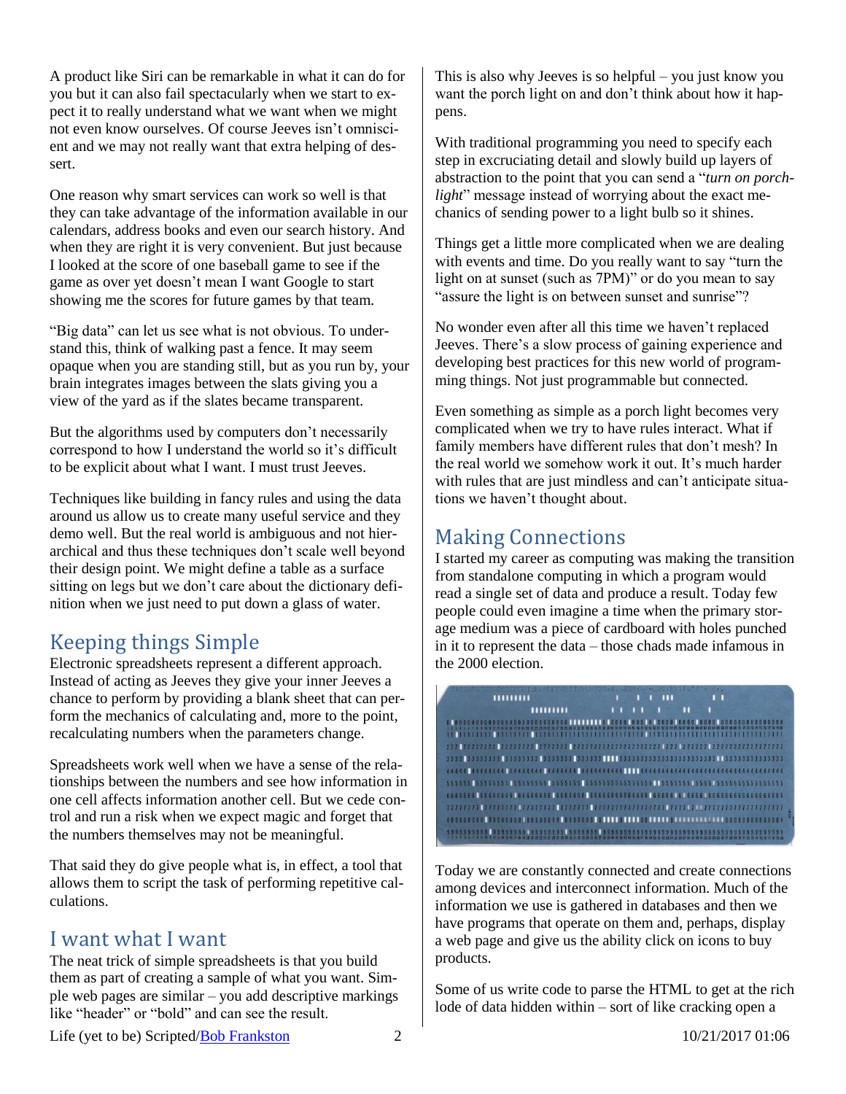A product like Siri can be remarkable in what it can do for you but it can also fail spectacularly when we start to expect it to really understand what we want when we might not even know ourselves. Of course Jeeves isn't omniscient and we may not really want that extra helping of dessert.

One reason why smart services can work so well is that they can take advantage of the information available in our calendars, address books and even our search history. And when they are right it is very convenient. But just because I looked at the score of one baseball game to see if the game as over yet doesn't mean I want Google to start showing me the scores for future games by that team.

"Big data" can let us see what is not obvious. To understand this, think of walking past a fence. It may seem opaque when you are standing still, but as you run by, your brain integrates images between the slats giving you a view of the yard as if the slates became transparent.

But the algorithms used by computers don't necessarily correspond to how I understand the world so it's difficult to be explicit about what I want. I must trust Jeeves.

Techniques like building in fancy rules and using the data around us allow us to create many useful service and they demo well. But the real world is ambiguous and not hierarchical and thus these techniques don't scale well beyond their design point. We might define a table as a surface sitting on legs but we don't care about the dictionary definition when we just need to put down a glass of water.

# Keeping things Simple

Electronic spreadsheets represent a different approach. Instead of acting as Jeeves they give your inner Jeeves a chance to perform by providing a blank sheet that can perform the mechanics of calculating and, more to the point, recalculating numbers when the parameters change.

Spreadsheets work well when we have a sense of the relationships between the numbers and see how information in one cell affects information another cell. But we cede control and run a risk when we expect magic and forget that the numbers themselves may not be meaningful.

That said they do give people what is, in effect, a tool that allows them to script the task of performing repetitive calculations.

### I want what I want

The neat trick of simple spreadsheets is that you build them as part of creating a sample of what you want. Simple web pages are similar – you add descriptive markings like "header" or "bold" and can see the result.

This is also why Jeeves is so helpful – you just know you want the porch light on and don't think about how it happens.

With traditional programming you need to specify each step in excruciating detail and slowly build up layers of abstraction to the point that you can send a "*turn on porchlight*" message instead of worrying about the exact mechanics of sending power to a light bulb so it shines.

Things get a little more complicated when we are dealing with events and time. Do you really want to say "turn the light on at sunset (such as 7PM)" or do you mean to say "assure the light is on between sunset and sunrise"?

No wonder even after all this time we haven't replaced Jeeves. There's a slow process of gaining experience and developing best practices for this new world of programming things. Not just programmable but connected.

Even something as simple as a porch light becomes very complicated when we try to have rules interact. What if family members have different rules that don't mesh? In the real world we somehow work it out. It's much harder with rules that are just mindless and can't anticipate situations we haven't thought about.

# Making Connections

I started my career as computing was making the transition from standalone computing in which a program would read a single set of data and produce a result. Today few people could even imagine a time when the primary storage medium was a piece of cardboard with holes punched in it to represent the data – those chads made infamous in the 2000 election.

|  |  |  |  |  |  |  | <b><i><u>HIHHHI</u></i></b> |  |  |  |  |  |           |  |  |  |  |  |  |  |  |  |  |  |  |  | ш |  |  |  |   | ' ' |  |  |  |  |  |  |  |
|--|--|--|--|--|--|--|-----------------------------|--|--|--|--|--|-----------|--|--|--|--|--|--|--|--|--|--|--|--|--|---|--|--|--|---|-----|--|--|--|--|--|--|--|
|  |  |  |  |  |  |  |                             |  |  |  |  |  | ,,,,,,,,, |  |  |  |  |  |  |  |  |  |  |  |  |  |   |  |  |  | ٠ |     |  |  |  |  |  |  |  |
|  |  |  |  |  |  |  |                             |  |  |  |  |  |           |  |  |  |  |  |  |  |  |  |  |  |  |  |   |  |  |  |   |     |  |  |  |  |  |  |  |
|  |  |  |  |  |  |  |                             |  |  |  |  |  |           |  |  |  |  |  |  |  |  |  |  |  |  |  |   |  |  |  |   |     |  |  |  |  |  |  |  |
|  |  |  |  |  |  |  |                             |  |  |  |  |  |           |  |  |  |  |  |  |  |  |  |  |  |  |  |   |  |  |  |   |     |  |  |  |  |  |  |  |
|  |  |  |  |  |  |  |                             |  |  |  |  |  |           |  |  |  |  |  |  |  |  |  |  |  |  |  |   |  |  |  |   |     |  |  |  |  |  |  |  |
|  |  |  |  |  |  |  |                             |  |  |  |  |  |           |  |  |  |  |  |  |  |  |  |  |  |  |  |   |  |  |  |   |     |  |  |  |  |  |  |  |
|  |  |  |  |  |  |  |                             |  |  |  |  |  |           |  |  |  |  |  |  |  |  |  |  |  |  |  |   |  |  |  |   |     |  |  |  |  |  |  |  |
|  |  |  |  |  |  |  |                             |  |  |  |  |  |           |  |  |  |  |  |  |  |  |  |  |  |  |  |   |  |  |  |   |     |  |  |  |  |  |  |  |
|  |  |  |  |  |  |  |                             |  |  |  |  |  |           |  |  |  |  |  |  |  |  |  |  |  |  |  |   |  |  |  |   |     |  |  |  |  |  |  |  |
|  |  |  |  |  |  |  |                             |  |  |  |  |  |           |  |  |  |  |  |  |  |  |  |  |  |  |  |   |  |  |  |   |     |  |  |  |  |  |  |  |
|  |  |  |  |  |  |  |                             |  |  |  |  |  |           |  |  |  |  |  |  |  |  |  |  |  |  |  |   |  |  |  |   |     |  |  |  |  |  |  |  |

Today we are constantly connected and create connections among devices and interconnect information. Much of the information we use is gathered in databases and then we have programs that operate on them and, perhaps, display a web page and give us the ability click on icons to buy products.

Some of us write code to parse the HTML to get at the rich lode of data hidden within – sort of like cracking open a

Life (yet to be) Scripted[/Bob Frankston](http://frankston.com/public) 2 10/21/2017 01:06